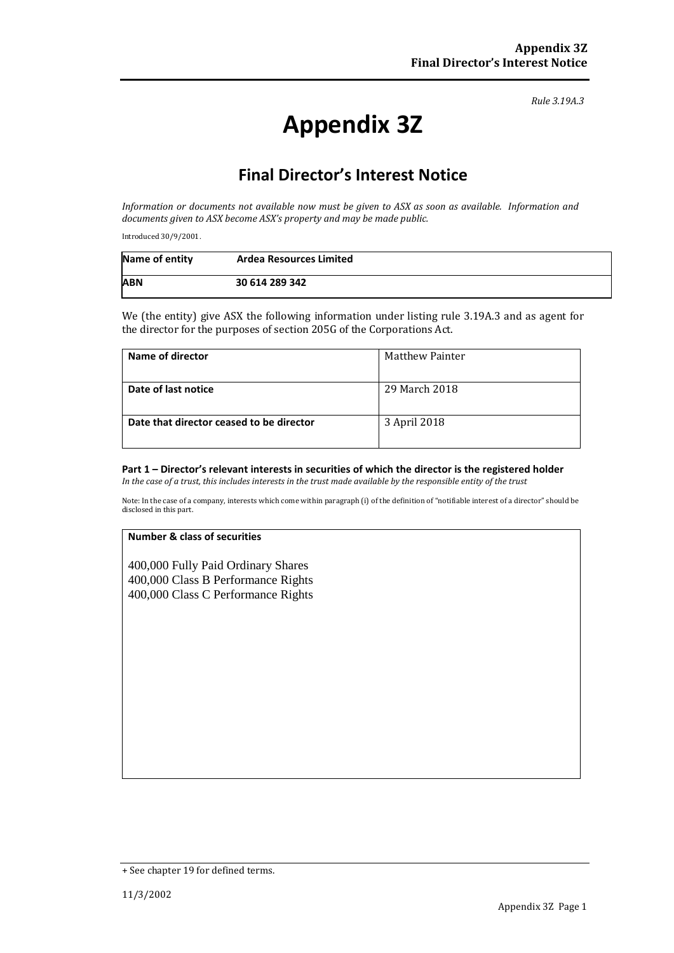*Rule 3.19A.3*

# **Appendix 3Z**

# **Final Director's Interest Notice**

*Information or documents not available now must be given to ASX as soon as available. Information and documents given to ASX become ASX's property and may be made public.*

Introduced 30/9/2001.

| Name of entity | <b>Ardea Resources Limited</b> |
|----------------|--------------------------------|
| <b>ABN</b>     | 30 614 289 342                 |

We (the entity) give ASX the following information under listing rule 3.19A.3 and as agent for the director for the purposes of section 205G of the Corporations Act.

| Name of director                         | <b>Matthew Painter</b> |
|------------------------------------------|------------------------|
| Date of last notice                      | 29 March 2018          |
| Date that director ceased to be director | 3 April 2018           |

# **Part 1 – Director's relevant interests in securities of which the director is the registered holder**

*In the case of a trust, this includes interests in the trust made available by the responsible entity of the trust*

Note: In the case of a company, interests which come within paragraph (i) of the definition of "notifiable interest of a director" should be disclosed in this part.

#### **Number & class of securities**

400,000 Fully Paid Ordinary Shares 400,000 Class B Performance Rights 400,000 Class C Performance Rights

<sup>+</sup> See chapter 19 for defined terms.